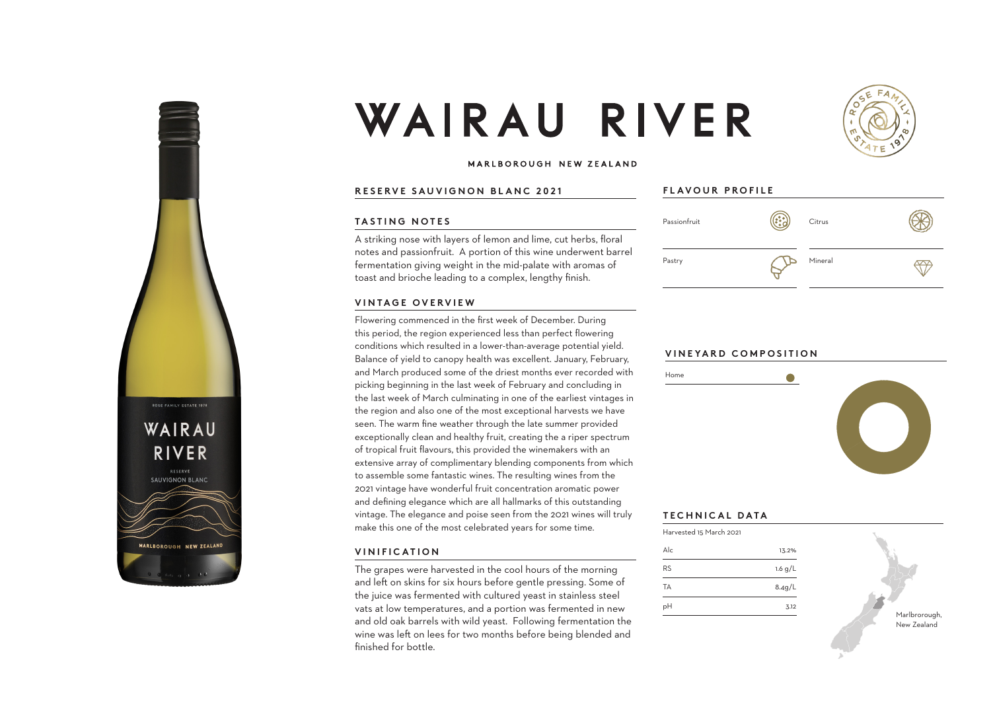

# WAIRAU RIVER



### MARLBOROUGH NEW ZEALAND

### **RESERVE SAUVIGNON BLANC 2021**

#### **TASTING NOTES**

A striking nose with layers of lemon and lime, cut herbs, floral notes and passionfruit. A portion of this wine underwent barrel fermentation giving weight in the mid-palate with aromas of toast and brioche leading to a complex, lengthy finish.

### **VINTAGE OVERVIEW**

Flowering commenced in the first week of December. During this period, the region experienced less than perfect flowering conditions which resulted in a lower-than-average potential yield. Balance of yield to canopy health was excellent. January, February, and March produced some of the driest months ever recorded with picking beginning in the last week of February and concluding in the last week of March culminating in one of the earliest vintages in the region and also one of the most exceptional harvests we have seen. The warm fine weather through the late summer provided exceptionally clean and healthy fruit, creating the a riper spectrum of tropical fruit flavours, this provided the winemakers with an extensive array of complimentary blending components from which to assemble some fantastic wines. The resulting wines from the 2021 vintage have wonderful fruit concentration aromatic power and defining elegance which are all hallmarks of this outstanding vintage. The elegance and poise seen from the 2021 wines will truly make this one of the most celebrated years for some time.

### **VINIFICATION**

The grapes were harvested in the cool hours of the morning and left on skins for six hours before gentle pressing. Some of the juice was fermented with cultured yeast in stainless steel vats at low temperatures, and a portion was fermented in new and old oak barrels with wild yeast. Following fermentation the wine was left on lees for two months before being blended and finished for bottle.

## **FLAVOUR PROFILE**



### **VINEYARD COMPOSITION**



# **TECHNICAL DATA**

Home

| Harvested 15 March 2021 |           |
|-------------------------|-----------|
| $\Delta _{C}$           | 13.2%     |
| RS                      | 1.6 $g/L$ |
| TА                      | 8.4g/L    |
| pН                      | 3.12      |

Marlbrorough, New Zealand